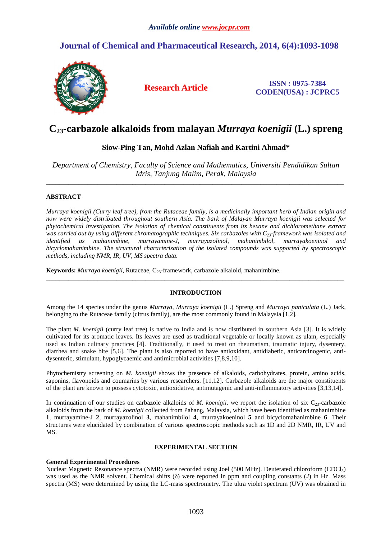# **Journal of Chemical and Pharmaceutical Research, 2014, 6(4):1093-1098**



**Research Article ISSN : 0975-7384 CODEN(USA) : JCPRC5**

# **C23-carbazole alkaloids from malayan** *Murraya koenigii* **(L.) spreng**

## **Siow-Ping Tan, Mohd Azlan Nafiah and Kartini Ahmad\***

*Department of Chemistry, Faculty of Science and Mathematics, Universiti Pendidikan Sultan Idris, Tanjung Malim, Perak, Malaysia* 

\_\_\_\_\_\_\_\_\_\_\_\_\_\_\_\_\_\_\_\_\_\_\_\_\_\_\_\_\_\_\_\_\_\_\_\_\_\_\_\_\_\_\_\_\_\_\_\_\_\_\_\_\_\_\_\_\_\_\_\_\_\_\_\_\_\_\_\_\_\_\_\_\_\_\_\_\_\_\_\_\_\_\_\_\_\_\_\_\_\_\_\_\_

### **ABSTRACT**

*Murraya koenigii (Curry leaf tree), from the Rutaceae family, is a medicinally important herb of Indian origin and now were widely distributed throughout southern Asia. The bark of Malayan Murraya koenigii was selected for phytochemical investigation. The isolation of chemical constituents from its hexane and dichloromethane extract was carried out by using different chromatographic techniques. Six carbazoles with C<sub>23</sub>-framework was isolated and identified as mahanimbine, murrayamine-J, murrayazolinol, mahanimbine, murrayazolinol, mahanimbine, murra identified as mahanimbine, murrayamine-J, murrayazolinol, mahanimbilol, murrayakoeninol and bicyclomahanimbine. The structural characterization of the isolated compounds was supported by spectroscopic methods, including NMR, IR, UV, MS spectra data.* 

Keywords: *Murraya koenigii*, Rutaceae, C<sub>23</sub>-framework, carbazole alkaloid, mahanimbine.

### **INTRODUCTION**

\_\_\_\_\_\_\_\_\_\_\_\_\_\_\_\_\_\_\_\_\_\_\_\_\_\_\_\_\_\_\_\_\_\_\_\_\_\_\_\_\_\_\_\_\_\_\_\_\_\_\_\_\_\_\_\_\_\_\_\_\_\_\_\_\_\_\_\_\_\_\_\_\_\_\_\_\_\_\_\_\_\_\_\_\_\_\_\_\_\_\_\_\_

Among the 14 species under the genus *Murraya*, *Murraya koenigii* (L.) Spreng and *Murraya paniculata* (L.) Jack, belonging to the Rutaceae family (citrus family), are the most commonly found in Malaysia [1,2].

The plant *M. koenigii* (curry leaf tree) is native to India and is now distributed in southern Asia [3]. It is widely cultivated for its aromatic leaves. Its leaves are used as traditional vegetable or locally known as ulam, especially used as Indian culinary practices [4]. Traditionally, it used to treat on rheumatism, traumatic injury, dysentery, diarrhea and snake bite [5,6]. The plant is also reported to have antioxidant, antidiabetic, anticarcinogenic, antidysenteric, stimulant, hypoglycaemic and antimicrobial activities [7,8,9,10].

Phytochemistry screening on *M. koenigii* shows the presence of alkaloids, carbohydrates, protein, amino acids, saponins, flavonoids and coumarins by various researchers. [11,12]. Carbazole alkaloids are the major constituents of the plant are known to possess cytotoxic, antioxidative, antimutagenic and anti-inflammatory activities [3,13,14].

In continuation of our studies on carbazole alkaloids of *M. koenigii*, we report the isolation of six  $C_{23}$ -carbazole alkaloids from the bark of *M. koenigii* collected from Pahang, Malaysia, which have been identified as mahanimbine **1**, murrayamine-J **2**, murrayazolinol **3**, mahanimbilol **4**, murrayakoeninol **5** and bicyclomahanimbine **6**. Their structures were elucidated by combination of various spectroscopic methods such as 1D and 2D NMR, IR, UV and MS.

#### **EXPERIMENTAL SECTION**

#### **General Experimental Procedures**

Nuclear Magnetic Resonance spectra (NMR) were recorded using Joel (500 MHz). Deuterated chloroform (CDCl3) was used as the NMR solvent. Chemical shifts (δ) were reported in ppm and coupling constants (*J*) in Hz. Mass spectra (MS) were determined by using the LC-mass spectrometry. The ultra violet spectrum (UV) was obtained in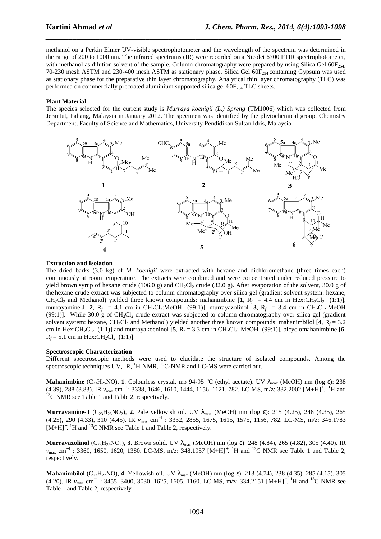methanol on a Perkin Elmer UV-visible spectrophotometer and the wavelength of the spectrum was determined in the range of 200 to 1000 nm. The infrared spectrums (IR) were recorded on a Nicolet 6700 FTIR spectrophotometer, with methanol as dilution solvent of the sample. Column chromatography were prepared by using Silica Gel  $60F_{254}$ , 70-230 mesh ASTM and 230-400 mesh ASTM as stationary phase. Silica Gel  $60F_{254}$  containing Gypsum was used as stationary phase for the preparative thin layer chromatography. Analytical thin layer chromatography (TLC) was performed on commercially precoated aluminium supported silica gel  $60F_{254}$  TLC sheets.

*\_\_\_\_\_\_\_\_\_\_\_\_\_\_\_\_\_\_\_\_\_\_\_\_\_\_\_\_\_\_\_\_\_\_\_\_\_\_\_\_\_\_\_\_\_\_\_\_\_\_\_\_\_\_\_\_\_\_\_\_\_\_\_\_\_\_\_\_\_\_\_\_\_\_\_\_\_*

#### **Plant Material**

The species selected for the current study is *Murraya koenigii (L.) Spreng* (TM1006) which was collected from Jerantut, Pahang, Malaysia in January 2012. The specimen was identified by the phytochemical group, Chemistry Department, Faculty of Science and Mathematics, University Pendidikan Sultan Idris, Malaysia.



#### **Extraction and Isolation**

The dried barks (3.0 kg) of *M. koenigii* were extracted with hexane and dichloromethane (three times each) continuously at room temperature. The extracts were combined and were concentrated under reduced pressure to yield brown syrup of hexane crude (106.0 g) and CH<sub>2</sub>Cl<sub>2</sub> crude (32.0 g). After evaporation of the solvent, 30.0 g of the hexane crude extract was subjected to column chromatography over silica gel (gradient solvent system: hexane, CH<sub>2</sub>Cl<sub>2</sub> and Methanol) yielded three known compounds: mahanimbine  $[1, R_f = 4.4$  cm in Hex:CH<sub>2</sub>Cl<sub>2</sub> (1:1)], murrayamine-J [2,  $R_f = 4.1$  cm in CH<sub>2</sub>Cl<sub>2</sub>:MeOH (99:1)], murrayazolinol [3,  $R_f = 3.4$  cm in CH<sub>2</sub>Cl<sub>2</sub>:MeOH (99:1)]. While 30.0 g of CH<sub>2</sub>Cl<sub>2</sub> crude extract was subjected to column chromatography over silica gel (gradient solvent system: hexane,  $CH_2Cl_2$  and Methanol) yielded another three known compounds: mahanimbilol [4,  $R_f = 3.2$ cm in Hex: $CH_2Cl_2$  (1:1)] and murrayakoeninol [5,  $R_f = 3.3$  cm in  $CH_2Cl_2$ : MeOH (99:1)], bicyclomahanimbine [6,  $R_f$  = 5.1 cm in Hex:CH<sub>2</sub>Cl<sub>2</sub> (1:1)].

#### **Spectroscopic Characterization**

Different spectroscopic methods were used to elucidate the structure of isolated compounds. Among the spectroscopic techniques UV, IR,  ${}^{1}$ H-NMR,  ${}^{13}$ C-NMR and LC-MS were carried out.

**Mahanimbine** (C<sub>23</sub>H<sub>25</sub>NO), **1**. Colourless crystal, mp 94-95 °C (ethyl acetate). UV λ<sub>max</sub> (MeOH) nm (log ε): 238  $(4.39)$ , 288 (3.83). IR  $v_{\text{max}}$  cm<sup>-1</sup>: 3338, 1646, 1610, 1444, 1156, 1121, 782. LC-MS, m/z: 332.2002 [M+H]<sup>+</sup>. <sup>1</sup>H and <sup>13</sup>C NMR see Table 1 and Table 2, respectively.

**Murrayamine-J** (C<sub>23</sub>H<sub>23</sub>NO<sub>2</sub>), **2**. Pale yellowish oil. UV  $\lambda_{\text{max}}$  (MeOH) nm (log ε): 215 (4.25), 248 (4.35), 265 (4.25), 290 (4.33), 310 (4.45). IR *v*max cm<sup>−</sup><sup>1</sup> : 3332, 2855, 1675, 1615, 1575, 1156, 782. LC-MS, m/z: 346.1783  $[M+H]^+$ . <sup>1</sup>H and <sup>13</sup>C NMR see Table 1 and Table 2, respectively.

**Murrayazolinol** (C<sub>23</sub>H<sub>25</sub>NO<sub>2</sub>), **3**. Brown solid. UV  $\lambda_{\text{max}}$  (MeOH) nm (log ε): 248 (4.84), 265 (4.82), 305 (4.40). IR *v*<sub>max</sub> cm<sup>-1</sup> : 3360, 1650, 1620, 1380. LC-MS, m/z: 348.1957 [M+H]<sup>+</sup>. <sup>1</sup>H and <sup>13</sup>C NMR see Table 1 and Table 2, respectively.

**Mahanimbilol** (C<sub>23</sub>H<sub>27</sub>NO), **4**. Yellowish oil. UV  $\lambda_{\text{max}}$  (MeOH) nm (log ε): 213 (4.74), 238 (4.35), 285 (4.15), 305 (4.20). IR  $v_{\text{max}}$  cm<sup>-1</sup> : 3455, 3400, 3030, 1625, 1605, 1160. LC-MS, m/z: 334.2151 [M+H]<sup>+</sup>. <sup>1</sup>H and <sup>13</sup>C NMR see Table 1 and Table 2, respectively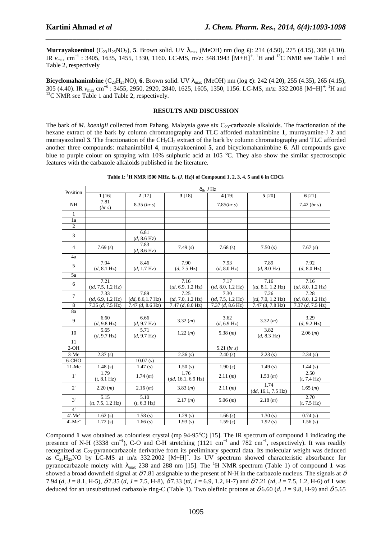**Murrayakoeninol** (C<sub>23</sub>H<sub>25</sub>NO<sub>2</sub>), **5**. Brown solid. UV  $\lambda_{\text{max}}$  (MeOH) nm (log ε): 214 (4.50), 275 (4.15), 308 (4.10). IR *v*<sub>max</sub> cm<sup>-1</sup> : 3405, 1635, 1455, 1330, 1160. LC-MS, m/z: 348.1943 [M+H]<sup>+</sup>. <sup>1</sup>H and <sup>13</sup>C NMR see Table 1 and Table 2, respectively

*\_\_\_\_\_\_\_\_\_\_\_\_\_\_\_\_\_\_\_\_\_\_\_\_\_\_\_\_\_\_\_\_\_\_\_\_\_\_\_\_\_\_\_\_\_\_\_\_\_\_\_\_\_\_\_\_\_\_\_\_\_\_\_\_\_\_\_\_\_\_\_\_\_\_\_\_\_*

**Bicyclomahanimbine** (C<sub>23</sub>H<sub>25</sub>NO), **6**. Brown solid. UV  $\lambda_{\text{max}}$  (MeOH) nm (log  $\varepsilon$ ): 242 (4.20), 255 (4.35), 265 (4.15), 305 (4.40). IR *v*<sub>max</sub> cm<sup>-1</sup> : 3455, 2950, 2920, 2840, 1625, 1605, 1350, 1156. LC-MS, m/z: 332.2008 [M+H]<sup>+ 1</sup>H and  $13^{\circ}$ C NMR see Table 1 and Table 2, respectively.

#### **RESULTS AND DISCUSSION**

The bark of *M. koenigii* collected from Pahang, Malaysia gave six C<sub>23</sub>-carbazole alkaloids. The fractionation of the hexane extract of the bark by column chromatography and TLC afforded mahanimbine **1**, murrayamine-J **2** and murrayazolinol **3**. The fractionation of the CH<sub>2</sub>Cl<sub>2</sub> extract of the bark by column chromatography and TLC afforded another three compounds: mahanimbilol **4**, murrayakoeninol **5**, and bicyclomahanimbine **6**. All compounds gave blue to purple colour on spraying with 10% sulphuric acid at 105 °C. They also show the similar spectroscopic features with the carbazole alkaloids published in the literature.

| Position                 | $\delta_{\rm H}$ , J Hz             |                               |                                                               |                                                               |                                                               |                                                                         |  |  |  |  |
|--------------------------|-------------------------------------|-------------------------------|---------------------------------------------------------------|---------------------------------------------------------------|---------------------------------------------------------------|-------------------------------------------------------------------------|--|--|--|--|
|                          | 1[16]                               | 2[17]                         | 3[18]                                                         | 4 [19]                                                        | 5[20]                                                         | 6[21]                                                                   |  |  |  |  |
| NH                       | 7.81<br>(brs)                       | 8.35 (brs)                    |                                                               | 7.85(brs)                                                     |                                                               | 7.42 (brs)                                                              |  |  |  |  |
| 1                        |                                     |                               |                                                               |                                                               |                                                               |                                                                         |  |  |  |  |
| 1a                       |                                     |                               |                                                               |                                                               |                                                               |                                                                         |  |  |  |  |
| $\mathfrak{2}$           |                                     |                               |                                                               |                                                               |                                                               |                                                                         |  |  |  |  |
| 3                        |                                     | 6.81<br>$(d, 8.6 \text{ Hz})$ |                                                               |                                                               |                                                               |                                                                         |  |  |  |  |
| $\overline{\mathcal{A}}$ | 7.69(s)                             | 7.83<br>$(d, 8.6 \text{ Hz})$ | 7.49(s)                                                       | 7.68(s)                                                       | 7.50(s)                                                       | 7.67(s)                                                                 |  |  |  |  |
| 4a                       |                                     |                               |                                                               |                                                               |                                                               |                                                                         |  |  |  |  |
| 5                        | 7.94<br>$(d, 8.1 \text{ Hz})$       | 8.46<br>$(d, 1.7 \text{ Hz})$ | 7.90<br>$(d, 7.5 \text{ Hz})$                                 | 7.93<br>$(d, 8.0 \text{ Hz})$                                 | 7.89<br>$(d, 8.0 \text{ Hz})$                                 | 7.92<br>$(d, 8.0 \text{ Hz})$                                           |  |  |  |  |
| 5a                       |                                     |                               |                                                               |                                                               |                                                               |                                                                         |  |  |  |  |
| 6                        | 7.21<br>$(td, 7.5, 1.2 \text{ Hz})$ |                               | 7.16                                                          | 7.17                                                          | 7.16                                                          | 7.16                                                                    |  |  |  |  |
| $\tau$                   | 7.33<br>$(td, 6.9, 1.2 \text{ Hz})$ | 7.89<br>(dd, 8.6, 1.7 Hz)     | $\frac{(td, 6.9, 1.2 \text{ Hz})}{7.25}$<br>(id, 7.0, 1.2 Hz) | $\frac{(td, 8.0, 1.2 \text{ Hz})}{7.30}$<br>(id, 7.5, 1.2 Hz) | $\frac{(td, 8.1, 1.2 \text{ Hz})}{7.26}$<br>(id, 7.0, 1.2 Hz) | $\frac{(td, 8.0, 1.2 \text{ Hz})}{7.28}$<br>$(td, 8.0, 1.2 \text{ Hz})$ |  |  |  |  |
| 8                        | 7.35(d, 7.5 Hz)                     | 7.47(d, 8.6 Hz)               | 7.47(d, 8.0 Hz)                                               | 7.37(d, 8.6 Hz)                                               | 7.47 (d, 7.8 Hz)                                              | 7.37(d, 7.5 Hz)                                                         |  |  |  |  |
| 8a                       |                                     |                               |                                                               |                                                               |                                                               |                                                                         |  |  |  |  |
| 9                        | 6.60<br>$(d, 9.8 \text{ Hz})$       | 6.66<br>$(d, 9.7 \text{ Hz})$ | 3.32(m)                                                       | 3.62<br>$(d, 6.9 \text{ Hz})$                                 | 3.32(m)                                                       | 3.29<br>$(d, 9.2 \text{ Hz})$                                           |  |  |  |  |
| 10                       | 5.65<br>$(d, 9.7 \text{ Hz})$       | 5.71<br>$(d, 9.7 \text{ Hz})$ | 1.22(m)                                                       | 5.38(m)                                                       | 3.82<br>$(d, 8.3 \text{ Hz})$                                 | 2.06(m)                                                                 |  |  |  |  |
| 11                       |                                     |                               |                                                               |                                                               |                                                               |                                                                         |  |  |  |  |
| $2-OH$                   |                                     |                               |                                                               | 5.21 (brs)                                                    |                                                               |                                                                         |  |  |  |  |
| $3-Me$                   | 2.37(s)                             |                               | 2.36(s)                                                       | 2.40(s)                                                       | 2.23(s)                                                       | 2.34(s)                                                                 |  |  |  |  |
| 6-CHO                    |                                     | 10.07(s)                      |                                                               |                                                               |                                                               |                                                                         |  |  |  |  |
| 11-Me                    | 1.48(s)                             | 1.47(s)                       | 1.50(s)                                                       | 1.90(s)                                                       | 1.49(s)                                                       | 1.44 $(s)$                                                              |  |  |  |  |
| 1'                       | 1.79<br>$(t, 8.1 \text{ Hz})$       | 1.74(m)                       | 1.76<br>(dd, 16.1, 6.9 Hz)                                    | 2.11(m)                                                       | 1.53(m)                                                       | 2.50<br>$(t, 7.4 \text{ Hz})$                                           |  |  |  |  |
| $2^{\prime}$             | 2.20(m)                             | 2.16(m)                       | 3.83(m)                                                       | 2.11(m)                                                       | 1.74<br>(dd, 16.1, 7.5 Hz)                                    | 1.65(m)                                                                 |  |  |  |  |
| 3'                       | 5.15<br>(tt, 7.5, 1.2 Hz)           | 5.10<br>$(t, 6.3 \text{ Hz})$ | 2.17(m)                                                       | 5.06(m)                                                       | 2.18(m)                                                       | 2.70<br>$(t, 7.5 \text{ Hz})$                                           |  |  |  |  |
| 4'                       |                                     |                               |                                                               |                                                               |                                                               |                                                                         |  |  |  |  |
| $4'$ -Me $'$             | 1.62(s)                             | 1.58(s)                       | 1.29(s)                                                       | 1.66(s)                                                       | 1.30(s)                                                       | 0.74(s)                                                                 |  |  |  |  |
| 4'-Me"                   | 1.72(s)                             | 1.66(s)                       | 1.93(s)                                                       | 1.59(s)                                                       | 1.92(s)                                                       | 1.56(s)                                                                 |  |  |  |  |

**Table 1:** <sup>1</sup>**H** NMR [500 MHz,  $\delta_H$  (*J*, Hz)] of Compound 1, 2, 3, 4, 5 and 6 in CDCl<sub>3</sub>

Compound **1** was obtained as colourless crystal (mp 94-95°C) [15]. The IR spectrum of compound **1** indicating the presence of N-H (3338 cm<sup>-1</sup>), C-O and C-H stretching (1121 cm<sup>-1</sup> and 782 cm<sup>-1</sup>, respectively). It was readily recognized as C<sub>23</sub>-pyranocarbazole derivative from its preliminary spectral data. Its molecular weight was deduced as  $C_{23}H_{25}NO$  by LC-MS at m/z 332.2002  $[M+H]^+$ . Its UV spectrum showed characteristic absorbance for pyranocarbazole moiety with  $\lambda_{\text{max}}$  238 and 288 nm [15]. The <sup>1</sup>H NMR spectrum (Table 1) of compound 1 was showed a broad downfield signal at  $\delta$ 7.81 assignable to the present of N-H in the carbazole nucleus. The signals at  $\delta$ 7.94 (*d*, *J* = 8.1, H-5), δ 7.35 (*d*, *J* = 7.5, H-8), δ 7.33 (*td*, *J* = 6.9, 1.2, H-7) and δ 7.21 (*td*, *J* = 7.5, 1.2, H-6) of **1** was deduced for an unsubstituted carbazole ring-C (Table 1). Two olefinic protons at  $\delta$  6.60 (*d*, *J* = 9.8, H-9) and  $\delta$  5.65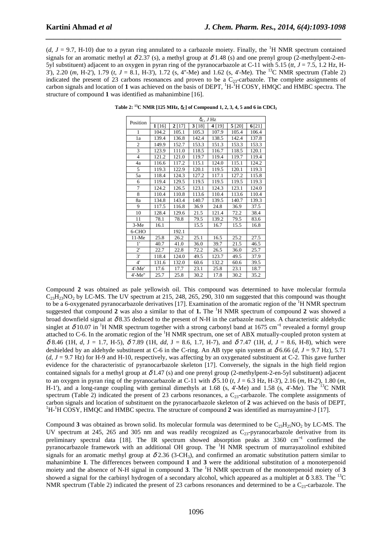$(d, J = 9.7, H-10)$  due to a pyran ring annulated to a carbazole moiety. Finally, the <sup>1</sup>H NMR spectrum contained signals for an aromatic methyl at  $\delta$  2.37 (s), a methyl group at  $\delta$  1.48 (s) and one prenyl group (2-methylpent-2-en-5yl substituent) adjacent to an oxygen in pyran ring of the pyranocarbazole at C-11 with 5.15 (*tt*, *J* = 7.5, 1.2 Hz, H-3'), 2.20 (*m,* H-2'), 1.79 (*t*, *J* = 8.1, H-3'), 1.72 (s, 4''-Me) and 1.62 (s, 4'-Me). The <sup>13</sup>C NMR spectrum (Table 2) indicated the present of 23 carbons resonances and proven to be a  $C_{23}$ -carbazole. The complete assignments of carbon signals and location of 1 was achieved on the basis of DEPT, <sup>1</sup>H-<sup>1</sup>H COSY, HMQC and HMBC spectra. The structure of compound **1** was identified as mahanimbine [16].

*\_\_\_\_\_\_\_\_\_\_\_\_\_\_\_\_\_\_\_\_\_\_\_\_\_\_\_\_\_\_\_\_\_\_\_\_\_\_\_\_\_\_\_\_\_\_\_\_\_\_\_\_\_\_\_\_\_\_\_\_\_\_\_\_\_\_\_\_\_\_\_\_\_\_\_\_\_*

| Position       | $\delta_{C}$ , J Hz |       |       |          |       |       |  |  |
|----------------|---------------------|-------|-------|----------|-------|-------|--|--|
|                | 1[16]               | 2[17] | 3[18] | $4$ [19] | 5[20] | 6[21] |  |  |
| 1              | 104.2               | 105.1 | 105.3 | 107.9    | 105.4 | 106.4 |  |  |
| 1a             | 139.4               | 136.8 | 142.4 | 138.5    | 142.4 | 137.8 |  |  |
| $\overline{c}$ | 149.9               | 152.7 | 153.3 | 151.3    | 153.3 | 153.3 |  |  |
| $\overline{3}$ | 123.9               | 111.0 | 118.5 | 116.7    | 118.5 | 120.1 |  |  |
| $\overline{4}$ | 121.2               | 121.0 | 119.7 | 119.4    | 119.7 | 119.4 |  |  |
| 4a             | 116.6               | 117.2 | 115.1 | 124.0    | 115.1 | 124.2 |  |  |
| 5              | 119.3               | 122.9 | 120.1 | 119.5    | 120.1 | 119.3 |  |  |
| 5a             | 118.4               | 124.3 | 127.2 | 117.1    | 127.2 | 115.8 |  |  |
| 6              | 119.4               | 129.5 | 119.5 | 119.5    | 119.5 | 119.3 |  |  |
| 7              | 124.2               | 126.5 | 123.1 | 124.3    | 123.1 | 124.0 |  |  |
| 8              | 110.4               | 110.8 | 113.6 | 110.4    | 113.6 | 110.4 |  |  |
| 8a             | 134.8               | 143.4 | 140.7 | 139.5    | 140.7 | 139.3 |  |  |
| 9              | 117.5               | 116.8 | 36.9  | 24.8     | 36.9  | 37.5  |  |  |
| 10             | 128.4               | 129.6 | 21.5  | 121.4    | 72.2  | 38.4  |  |  |
| 11             | 78.1                | 78.8  | 79.5  | 139.2    | 79.5  | 83.6  |  |  |
| $3-Me$         | 16.1                |       | 15.5  | 16.7     | 15.5  | 16.8  |  |  |
| 6-CHO          |                     | 192.1 |       |          |       |       |  |  |
| $11-Me$        | 25.8                | 26.2  | 25.1  | 16.5     | 25.2  | 27.5  |  |  |
| 1'             | 40.7                | 41.0  | 36.0  | 39.7     | 21.5  | 46.5  |  |  |
| $2^{\prime}$   | 22.7                | 22.8  | 72.2  | 26.5     | 36.0  | 25.7  |  |  |
| 3'             | 118.4               | 124.0 | 49.5  | 123.7    | 49.5  | 37.9  |  |  |
| $4^{\circ}$    | 131.6               | 132.0 | 60.6  | 132.2    | 60.6  | 39.5  |  |  |
| $4'-Me'$       | 17.6                | 17.7  | 23.1  | 25.8     | 23.1  | 18.7  |  |  |
| $4'$ -Me $"$   | 25.7                | 25.8  | 30.2  | 17.8     | 30.2  | 35.2  |  |  |

**Table 2:** <sup>13</sup>**C NMR** [125 MHz,  $\delta$ <sub>C</sub>] of Compound 1, 2, 3, 4, 5 and 6 in CDCl<sub>3</sub>

Compound **2** was obtained as pale yellowish oil. This compound was determined to have molecular formula  $C_{23}H_{23}NO_2$  by LC-MS. The UV spectrum at 215, 248, 265, 290, 310 nm suggested that this compound was thought to be a 6-oxygenated pyranocarbazole derivatives [17]. Examination of the aromatic region of the  ${}^{1}$ H NMR spectrum suggested that compound 2 was also a similar to that of 1. The <sup>1</sup>H NMR spectrum of compound 2 was showed a broad downfield signal at  $\delta$ 8.35 deduced to the present of N-H in the carbazole nucleus. A characteristic aldehydic singlet at  $\delta$ 10.07 in <sup>1</sup>H NMR spectrum together with a strong carbonyl band at 1675 cm<sup>-1</sup> revealed a formyl group attached to C-6. In the aromatic region of the <sup>1</sup>H NMR spectrum, one set of ABX mutually-coupled proton system at δ 8.46 (1H, *d*, J = 1.7, H-5), δ 7.89 (1H, *dd*, J = 8.6, 1.7, H-7), and δ 7.47 (1H, *d*, *J* = 8.6, H-8), which were deshielded by an aldehyde substituent at C-6 in the C-ring. An AB type spin system at  $\delta$  6.66 (*d*, *J* = 9.7 Hz), 5.71  $(d, J = 9.7 \text{ Hz})$  for H-9 and H-10, respectively, was affecting by an oxygenated substituent at C-2. This gave further evidence for the characteristic of pyranocarbazole skeleton [17]. Conversely, the signals in the high field region contained signals for a methyl group at  $\delta$ 1.47 (s) and one prenyl group (2-methylpent-2-en-5yl substituent) adjacent to an oxygen in pyran ring of the pyranocarbazole at C-11 with  $\delta$  5.10 (*t*, *J* = 6.3 Hz, H-3'), 2.16 (*m*, H-2'), 1.80 (*m*, H-1'), and a long-range coupling with geminal dimethyls at 1.68 (s, 4'-Me) and 1.58 (s, 4'-Me). The  $13C$  NMR spectrum (Table 2) indicated the present of 23 carbons resonances, a  $C_{23}$ -carbazole. The complete assignments of carbon signals and location of substituent on the pyranocarbazole skeleton of **2** was achieved on the basis of DEPT, <sup>1</sup>H-<sup>1</sup>H COSY, HMQC and HMBC spectra. The structure of compound **2** was identified as murrayamine-J [17].

Compound **3** was obtained as brown solid. Its molecular formula was determined to be  $C_{23}H_{25}NO_2$  by LC-MS. The UV spectrum at 245, 265 and 305 nm and was readily recognized as  $C_{23}$ -pyranocarbazole derivative from its preliminary spectral data [18]. The IR spectrum showed absorption peaks at 3360 cm<sup>-1</sup> confirmed the pyranocarbazole framework with an additional OH group. The <sup>1</sup>H NMR spectrum of murrayazolinol exhibited signals for an aromatic methyl group at  $\delta$  2.36 (3-CH<sub>3</sub>), and confirmed an aromatic substitution pattern similar to mahanimbine **1**. The differences between compound **1** and **3** were the additional substitution of a monoterpenoid moiety and the absence of N-H signal in compound 3. The <sup>1</sup>H NMR spectrum of the monoterpenoid moiety of 3 showed a signal for the carbinyl hydrogen of a secondary alcohol, which appeared as a multiplet at  $\delta$  3.83. The <sup>13</sup>C NMR spectrum (Table 2) indicated the present of 23 carbons resonances and determined to be a  $C_{23}$ -carbazole. The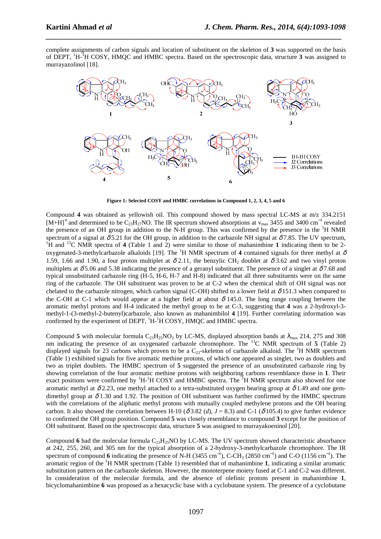complete assignments of carbon signals and location of substituent on the skeleton of **3** was supported on the basis of DEPT, <sup>1</sup>H-<sup>1</sup>H COSY, HMQC and HMBC spectra. Based on the spectroscopic data, structure **3** was assigned to murrayazolinol [18].

*\_\_\_\_\_\_\_\_\_\_\_\_\_\_\_\_\_\_\_\_\_\_\_\_\_\_\_\_\_\_\_\_\_\_\_\_\_\_\_\_\_\_\_\_\_\_\_\_\_\_\_\_\_\_\_\_\_\_\_\_\_\_\_\_\_\_\_\_\_\_\_\_\_\_\_\_\_*



**Figure 1: Selected COSY and HMBC correlations in Compound 1, 2, 3, 4, 5 and 6** 

Compound **4** was obtained as yellowish oil. This compound showed by mass spectral LC-MS at m/z 334.2151  $[M+H]^+$  and determined to be C<sub>23</sub>H<sub>27</sub>NO. The IR spectrum showed absorptions at v<sub>max</sub> 3455 and 3400 cm<sup>-1</sup> revealed the presence of an OH group in addition to the N-H group. This was confirmed by the presence in the <sup>1</sup>H NMR spectrum of a signal at  $\delta$ 5.21 for the OH group, in addition to the carbazole NH signal at  $\delta$ 7.85. The UV spectrum, <sup>1</sup>H and <sup>13</sup>C NMR spectra of **4** (Table 1 and 2) were similar to those of mahanimbine 1 indicating them to be 2oxygenated-3-methylcarbazole alkaloids [19]. The <sup>1</sup>H NMR spectrum of **4** contained signals for three methyl at  $\delta$ 1.59, 1.66 and 1.90, a four proton multiplet at  $\delta$  2.11, the benzylic CH<sub>2</sub> doublet at  $\delta$  3.62 and two vinyl proton multiplets at  $\delta$  5.06 and 5.38 indicating the presence of a geranyl substituent. The presence of a singlet at  $\delta$  7.68 and typical unsubstituted carbazole ring (H-5, H-6, H-7 and H-8) indicated that all three substituents were on the same ring of the carbazole. The OH substituent was proven to be at C-2 when the chemical shift of OH signal was not chelated to the carbazole nitrogen, which carbon signal (C-OH) shifted to a lower field at  $\delta$ 151.3 when compared to the C-OH at C-1 which would appear at a higher field at about  $\delta$  145.0. The long range coupling between the aromatic methyl protons and H-4 indicated the methyl group to be at C-3, suggesting that **4** was a 2-hydroxyl-3 methyl-1-(3-methyl-2-butenyl)carbazole, also known as mahanimbilol **4** [19]. Further correlating information was confirmed by the experiment of DEPT,  $^1H^{-1}H$  COSY, HMQC and HMBC spectra.

Compound 5 with molecular formula  $C_{23}H_{25}NO_2$  by LC-MS, displayed absorption bands at  $\lambda_{\text{max}}$  214, 275 and 308 nm indicating the presence of an oxygenated carbazole chromophore. The <sup>13</sup>C NMR spectrum of **5** (Table 2) displayed signals for 23 carbons which proven to be a  $C_{23}$ -skeleton of carbazole alkaloid. The <sup>1</sup>H NMR spectrum (Table 1) exhibited signals for five aromatic methine protons, of which one appeared as singlet, two as doublets and two as triplet doublets. The HMBC spectrum of **5** suggested the presence of an unsubstituted carbazole ring by showing correlation of the four aromatic methine protons with neighboring carbons resemblance those in **1**. Their exact positions were confirmed by  ${}^{1}H$ - ${}^{1}H$  COSY and HMBC spectra. The  ${}^{1}H$  NMR spectrum also showed for one aromatic methyl at  $\delta$  2.23, one methyl attached to a tetra-substituted oxygen bearing group at  $\delta$  1.49 and one gemdimethyl group at  $\delta$  1.30 and 1.92. The position of OH substituent was further confirmed by the HMBC spectrum with the correlations of the aliphatic methyl protons with mutually coupled methylene protons and the OH bearing carbon. It also showed the correlation between H-10 ( $\delta$ 3.82 (d),  $J = 8.3$ ) and C-1 ( $\delta$ 105.4) to give further evidence to confirmed the OH group position. Compound **5** was closely resemblance to compound **3** except for the position of OH substituent. Based on the spectroscopic data, structure **5** was assigned to murrayakoeninol [20].

Compound 6 had the molecular formula  $C_{23}H_{25}NO$  by LC-MS. The UV spectrum showed characteristic absorbance at 242, 255, 260, and 305 nm for the typical absorption of a 2-hydroxy-3-methylcarbazole chromophore. The IR spectrum of compound 6 indicating the presence of N-H (3455 cm<sup>-1</sup>), C-CH<sub>3</sub> (2850 cm<sup>-1</sup>) and C-O (1156 cm<sup>-1</sup>). The aromatic region of the <sup>1</sup>H NMR spectrum (Table 1) resembled that of mahanimbine **1**, indicating a similar aromatic substitution pattern on the carbazole skeleton. However, the monoterpene moiety fused at C-1 and C-2 was different. In consideration of the molecular formula, and the absence of olefinic protons present in mahanimbine **1**, bicyclomahanimbine **6** was proposed as a hexacyclic base with a cyclobutane system. The presence of a cyclobutane